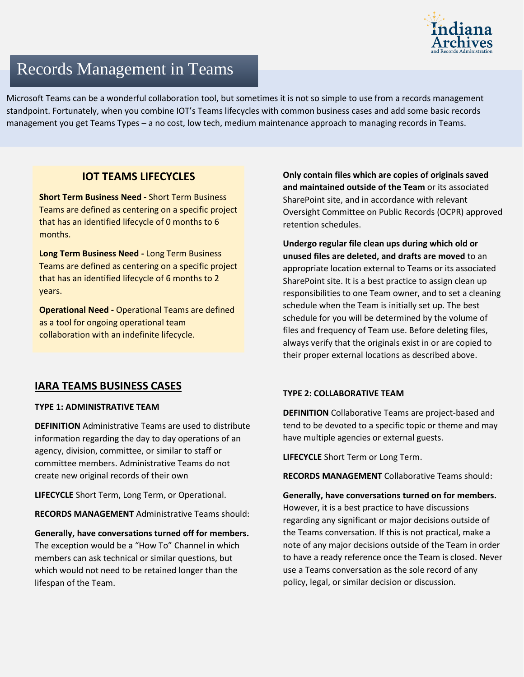

# Records Management in Teams

Microsoft Teams can be a wonderful collaboration tool, but sometimes it is not so simple to use from a records management standpoint. Fortunately, when you combine IOT's Teams lifecycles with common business cases and add some basic records management you get Teams Types – a no cost, low tech, medium maintenance approach to managing records in Teams.

# **IOT TEAMS LIFECYCLES**

**Short Term Business Need -** Short Term Business Teams are defined as centering on a specific project that has an identified lifecycle of 0 months to 6 months.

**Long Term Business Need -** Long Term Business Teams are defined as centering on a specific project that has an identified lifecycle of 6 months to 2 years.

**Operational Need -** Operational Teams are defined as a tool for ongoing operational team collaboration with an indefinite lifecycle.

## **IARA TEAMS BUSINESS CASES**

## **TYPE 1: ADMINISTRATIVE TEAM**

**DEFINITION** Administrative Teams are used to distribute information regarding the day to day operations of an agency, division, committee, or similar to staff or committee members. Administrative Teams do not create new original records of their own

**LIFECYCLE** Short Term, Long Term, or Operational.

**RECORDS MANAGEMENT** Administrative Teams should:

**Generally, have conversations turned off for members.** The exception would be a "How To" Channel in which members can ask technical or similar questions, but which would not need to be retained longer than the lifespan of the Team.

**Only contain files which are copies of originals saved and maintained outside of the Team** or its associated SharePoint site, and in accordance with relevant Oversight Committee on Public Records (OCPR) approved retention schedules.

**Undergo regular file clean ups during which old or unused files are deleted, and drafts are moved** to an appropriate location external to Teams or its associated SharePoint site. It is a best practice to assign clean up responsibilities to one Team owner, and to set a cleaning schedule when the Team is initially set up. The best schedule for you will be determined by the volume of files and frequency of Team use. Before deleting files, always verify that the originals exist in or are copied to their proper external locations as described above.

## **TYPE 2: COLLABORATIVE TEAM**

**DEFINITION** Collaborative Teams are project-based and tend to be devoted to a specific topic or theme and may have multiple agencies or external guests.

**LIFECYCLE** Short Term or Long Term.

**RECORDS MANAGEMENT** Collaborative Teams should:

**Generally, have conversations turned on for members.** However, it is a best practice to have discussions regarding any significant or major decisions outside of the Teams conversation. If this is not practical, make a note of any major decisions outside of the Team in order to have a ready reference once the Team is closed. Never use a Teams conversation as the sole record of any policy, legal, or similar decision or discussion.